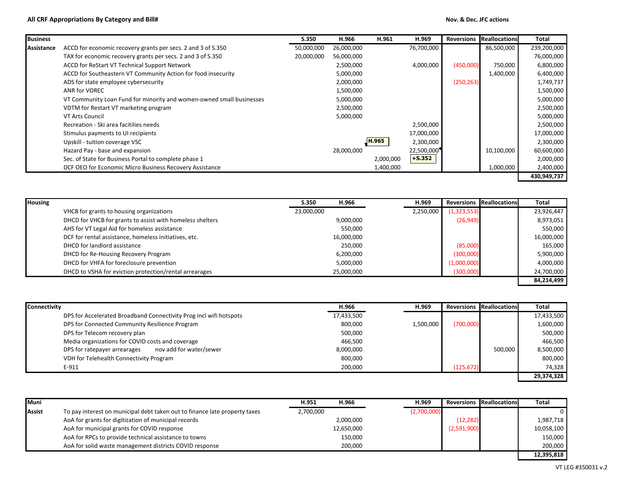## **All CRF Appropriations By Category and Bill# Nov. & Dec. JFC actions**

| <b>Business</b> |                                                                      | S.350      | H.966      | H.961     | H.969      | <b>Reversions</b> | <b>Reallocations</b> | Total       |
|-----------------|----------------------------------------------------------------------|------------|------------|-----------|------------|-------------------|----------------------|-------------|
| Assistance      | ACCD for economic recovery grants per secs. 2 and 3 of S.350         | 50,000,000 | 26,000,000 |           | 76,700,000 |                   | 86,500,000           | 239,200,000 |
|                 | TAX for economic recovery grants per secs. 2 and 3 of S.350          | 20,000,000 | 56,000,000 |           |            |                   |                      | 76,000,000  |
|                 | ACCD for ReStart VT Technical Support Network                        |            | 2,500,000  |           | 4,000,000  | (450,000)         | 750,000              | 6,800,000   |
|                 | ACCD for Southeastern VT Community Action for food insecurity        |            | 5,000,000  |           |            |                   | 1,400,000            | 6,400,000   |
|                 | ADS for state employee cybersecurity                                 |            | 2,000,000  |           |            | (250, 263)        |                      | 1,749,737   |
|                 | ANR for VOREC                                                        |            | 1,500,000  |           |            |                   |                      | 1,500,000   |
|                 | VT Community Loan Fund for minority and women-owned small businesses |            | 5,000,000  |           |            |                   |                      | 5,000,000   |
|                 | VDTM for Restart VT marketing program                                |            | 2,500,000  |           |            |                   |                      | 2,500,000   |
|                 | VT Arts Council                                                      |            | 5,000,000  |           |            |                   |                      | 5,000,000   |
|                 | Recreation - Ski area facitilies needs                               |            |            |           | 2,500,000  |                   |                      | 2,500,000   |
|                 | Stimulus payments to UI recipients                                   |            |            |           | 17,000,000 |                   |                      | 17,000,000  |
|                 | Upskill - tuition coverage VSC                                       |            |            | H.965     | 2,300,000  |                   |                      | 2,300,000   |
|                 | Hazard Pay - base and expansion                                      |            | 28,000,000 |           | 22,500,000 |                   | 10,100,000           | 60,600,000  |
|                 | Sec. of State for Business Portal to complete phase 1                |            |            | 2,000,000 | $+$ S.352  |                   |                      | 2,000,000   |
|                 | DCF OEO for Economic Micro Business Recovery Assistance              |            |            | 1,400,000 |            |                   | 1,000,000            | 2,400,000   |
|                 |                                                                      |            |            |           |            |                   |                      | 430,949,737 |

| <b>Housing</b>                                            | S.350      | H.966      | H.969     | <b>Reversions</b> | <b>Reallocations</b> | Total      |
|-----------------------------------------------------------|------------|------------|-----------|-------------------|----------------------|------------|
| VHCB for grants to housing organizations                  | 23,000,000 |            | 2,250,000 | (1, 323, 553)     |                      | 23,926,447 |
| DHCD for VHCB for grants to assist with homeless shelters |            | 9,000,000  |           | (26, 949)         |                      | 8,973,051  |
| AHS for VT Legal Aid for homeless assistance              |            | 550,000    |           |                   |                      | 550,000    |
| DCF for rental assistance, homeless initiatives, etc.     |            | 16,000,000 |           |                   |                      | 16,000,000 |
| DHCD for landlord assistance                              |            | 250,000    |           | (85,000)          |                      | 165,000    |
| DHCD for Re-Housing Recovery Program                      |            | 6,200,000  |           | (300,000)         |                      | 5,900,000  |
| DHCD for VHFA for foreclosure prevention                  |            | 5,000,000  |           | (1,000,000)       |                      | 4,000,000  |
| DHCD to VSHA for eviction protection/rental arrearages    |            | 25,000,000 |           | (300,000)         |                      | 24,700,000 |
|                                                           |            |            |           |                   |                      | 84,214,499 |

| Connectivity                                                       | H.966      | H.969     | <b>Reversions</b> | <b>Reallocations</b> | Total      |
|--------------------------------------------------------------------|------------|-----------|-------------------|----------------------|------------|
| DPS for Accelerated Broadband Connectivity Prog incl wifi hotspots | 17,433,500 |           |                   |                      | 17,433,500 |
| DPS for Connected Community Resilience Program                     | 800,000    | 1,500,000 | (700,000)         |                      | 1,600,000  |
| DPS for Telecom recovery plan                                      | 500,000    |           |                   |                      | 500,000    |
| Media organizations for COVID costs and coverage                   | 466,500    |           |                   |                      | 466,500    |
| nov add for water/sewer<br>DPS for ratepayer arrearages            | 8,000,000  |           |                   | 500,000              | 8,500,000  |
| VDH for Telehealth Connectivity Program                            | 800,000    |           |                   |                      | 800,000    |
| $E-911$                                                            | 200,000    |           | (125, 672)        |                      | 74,328     |
|                                                                    |            |           |                   |                      | 29,374,328 |

| Muni   |                                                                            | H.951     | H.966      | H.969       |             | <b>Reversions Reallocations</b> | <b>Total</b> |
|--------|----------------------------------------------------------------------------|-----------|------------|-------------|-------------|---------------------------------|--------------|
| Assist | To pay interest on municipal debt taken out to finance late property taxes | 2,700,000 |            | (2,700,000) |             |                                 |              |
|        | AoA for grants for digitization of municipal records                       |           | 2,000,000  |             | (12, 282)   |                                 | 1,987,718    |
|        | AoA for municipal grants for COVID response                                |           | 12,650,000 |             | (2,591,900) |                                 | 10,058,100   |
|        | AoA for RPCs to provide technical assistance to towns                      |           | 150,000    |             |             |                                 | 150,000      |
|        | AoA for solid waste management districts COVID response                    |           | 200,000    |             |             |                                 | 200,000      |
|        |                                                                            |           |            |             |             |                                 | 12,395,818   |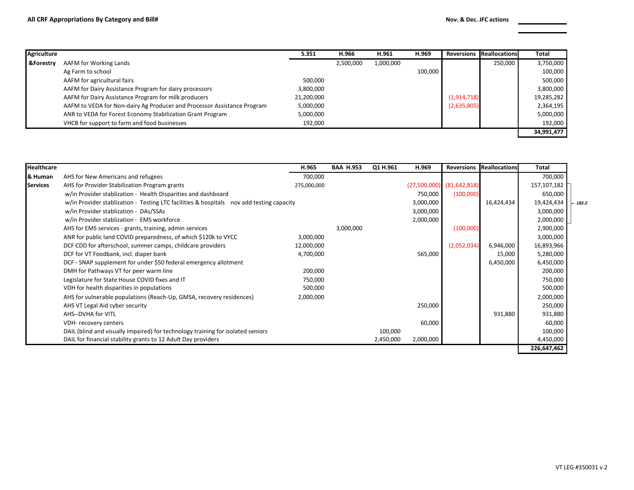| Agriculture          |                                                                         | S.351      | H.966     | H.961     | H.969   | <b>Reversions</b> | <b>Reallocations</b> | <b>Total</b> |
|----------------------|-------------------------------------------------------------------------|------------|-----------|-----------|---------|-------------------|----------------------|--------------|
| <b>&amp;Forestry</b> | AAFM for Working Lands                                                  |            | 2,500,000 | 1,000,000 |         |                   | 250,000              | 3,750,000    |
|                      | Ag Farm to school                                                       |            |           |           | 100,000 |                   |                      | 100,000      |
|                      | AAFM for agricultural fairs                                             | 500,000    |           |           |         |                   |                      | 500,000      |
|                      | AAFM for Dairy Assistance Program for dairy processors                  | 3,800,000  |           |           |         |                   |                      | 3,800,000    |
|                      | AAFM for Dairy Assistance Program for milk producers                    | 21,200,000 |           |           |         | (1,914,718)       |                      | 19,285,282   |
|                      | AAFM to VEDA for Non-dairy Ag Producer and Processor Assistance Program | 5,000,000  |           |           |         | (2,635,805)       |                      | 2,364,195    |
|                      | ANR to VEDA for Forest Economy Stabilization Grant Program              | 5,000,000  |           |           |         |                   |                      | 5,000,000    |
|                      | VHCB for support to farm and food businesses                            | 192,000    |           |           |         |                   |                      | 192,000      |
|                      |                                                                         |            |           |           |         |                   |                      | 34,991,477   |

| <b>Healthcare</b> |                                                                                          | H.965       | <b>BAA H.953</b> | Q1 H.961  | H.969     | <b>Reversions</b>             | <b>Reallocations</b> | <b>Total</b> |          |
|-------------------|------------------------------------------------------------------------------------------|-------------|------------------|-----------|-----------|-------------------------------|----------------------|--------------|----------|
| & Human           | AHS for New Americans and refugees                                                       | 700,000     |                  |           |           |                               |                      | 700,000      |          |
| <b>Services</b>   | AHS for Provider Stabilization Program grants                                            | 275,000,000 |                  |           |           | $(27,500,000)$ $(81,642,818)$ |                      | 157,107,182  |          |
|                   | w/in Provider stablization - Health Disparities and dashboard                            |             |                  |           | 750,000   | (100,000)                     |                      | 650,000      |          |
|                   | w/in Provider stablization - Testing LTC facilities & hospitals nov add testing capacity |             |                  |           | 3,000,000 |                               | 16,424,434           | 19,424,434   | $-182.2$ |
|                   | w/in Provider stablization - DAs/SSAs                                                    |             |                  |           | 3,000,000 |                               |                      | 3,000,000    |          |
|                   | w/in Provider stablization - EMS workforce                                               |             |                  |           | 2,000,000 |                               |                      | 2,000,000    |          |
|                   | AHS for EMS services - grants, training, admin services                                  |             | 3,000,000        |           |           | (100,000)                     |                      | 2,900,000    |          |
|                   | ANR for public land COVID preparedness, of which \$120k to VYCC                          | 3,000,000   |                  |           |           |                               |                      | 3,000,000    |          |
|                   | DCF CDD for afterschool, summer camps, childcare providers                               | 12,000,000  |                  |           |           | (2,052,034)                   | 6,946,000            | 16,893,966   |          |
|                   | DCF for VT Foodbank, incl. diaper bank                                                   | 4,700,000   |                  |           | 565,000   |                               | 15,000               | 5,280,000    |          |
|                   | DCF - SNAP supplement for under \$50 federal emergency allotment                         |             |                  |           |           |                               | 6,450,000            | 6,450,000    |          |
|                   | DMH for Pathways VT for peer warm line                                                   | 200,000     |                  |           |           |                               |                      | 200,000      |          |
|                   | Legislature for State House COVID fixes and IT                                           | 750,000     |                  |           |           |                               |                      | 750,000      |          |
|                   | VDH for health disparities in populations                                                | 500,000     |                  |           |           |                               |                      | 500,000      |          |
|                   | AHS for vulnerable populations (Reach-Up, GMSA, recovery residences)                     | 2,000,000   |                  |           |           |                               |                      | 2,000,000    |          |
|                   | AHS VT Legal Aid cyber security                                                          |             |                  |           | 250,000   |                               |                      | 250,000      |          |
|                   | AHS--DVHA for VITL                                                                       |             |                  |           |           |                               | 931,880              | 931,880      |          |
|                   | VDH-recovery centers                                                                     |             |                  |           | 60,000    |                               |                      | 60,000       |          |
|                   | DAIL (blind and visually impaired) for technology training for isolated seniors          |             |                  | 100,000   |           |                               |                      | 100,000      |          |
|                   | DAIL for financial stability grants to 12 Adult Day providers                            |             |                  | 2,450,000 | 2,000,000 |                               |                      | 4,450,000    |          |
|                   |                                                                                          |             |                  |           |           |                               |                      | 226,647,462  |          |